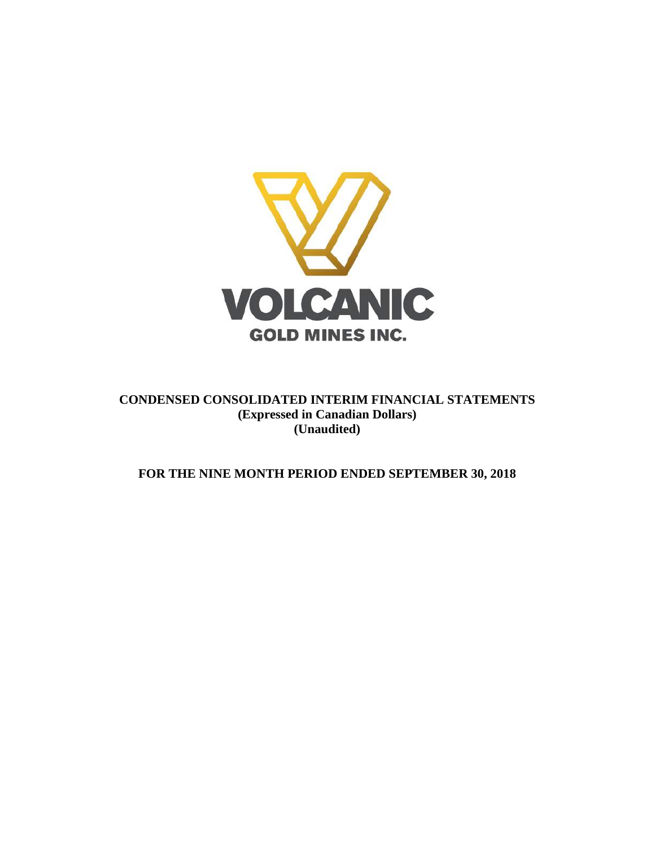

**CONDENSED CONSOLIDATED INTERIM FINANCIAL STATEMENTS (Expressed in Canadian Dollars) (Unaudited)**

**FOR THE NINE MONTH PERIOD ENDED SEPTEMBER 30, 2018**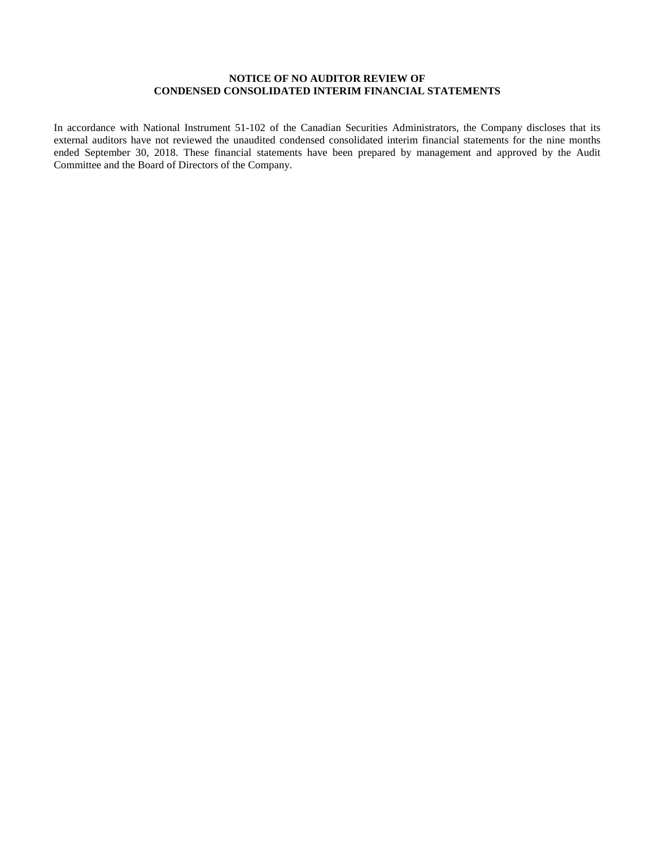## **NOTICE OF NO AUDITOR REVIEW OF CONDENSED CONSOLIDATED INTERIM FINANCIAL STATEMENTS**

In accordance with National Instrument 51-102 of the Canadian Securities Administrators, the Company discloses that its external auditors have not reviewed the unaudited condensed consolidated interim financial statements for the nine months ended September 30, 2018. These financial statements have been prepared by management and approved by the Audit Committee and the Board of Directors of the Company.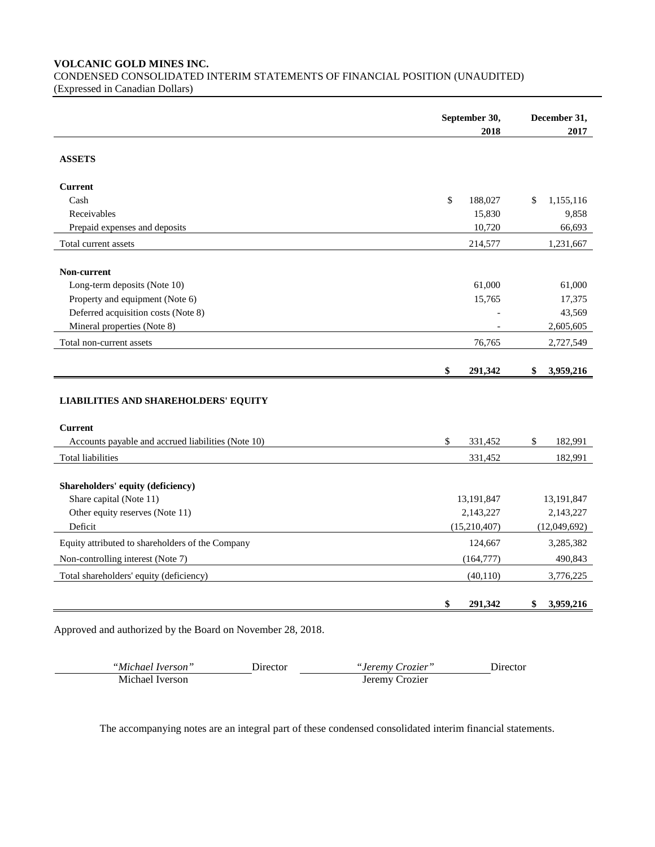**VOLCANIC GOLD MINES INC.** CONDENSED CONSOLIDATED INTERIM STATEMENTS OF FINANCIAL POSITION (UNAUDITED)

(Expressed in Canadian Dollars)

|                                                               | September 30, | December 31,                                      |
|---------------------------------------------------------------|---------------|---------------------------------------------------|
|                                                               | 2018          | 2017                                              |
| <b>ASSETS</b>                                                 |               |                                                   |
| <b>Current</b>                                                |               |                                                   |
| Cash                                                          | \$<br>188,027 | \$<br>1,155,116                                   |
| Receivables                                                   | 15,830        | 9,858                                             |
| Prepaid expenses and deposits                                 | 10,720        | 66,693                                            |
| Total current assets                                          | 214,577       | 1,231,667                                         |
| Non-current                                                   |               |                                                   |
| Long-term deposits (Note 10)                                  | 61,000        | 61,000                                            |
| Property and equipment (Note 6)                               | 15,765        | 17,375                                            |
| Deferred acquisition costs (Note 8)                           |               | 43,569                                            |
| Mineral properties (Note 8)                                   |               | 2,605,605                                         |
| Total non-current assets                                      | 76,765        | 2,727,549                                         |
|                                                               | \$<br>291,342 | \$<br>3,959,216                                   |
|                                                               |               |                                                   |
| <b>LIABILITIES AND SHAREHOLDERS' EQUITY</b><br><b>Current</b> |               |                                                   |
| Accounts payable and accrued liabilities (Note 10)            | \$<br>331,452 | \$<br>182,991                                     |
| <b>Total liabilities</b>                                      | 331,452       | 182,991                                           |
| Shareholders' equity (deficiency)                             |               |                                                   |
| Share capital (Note 11)                                       | 13,191,847    | 13,191,847                                        |
| Other equity reserves (Note 11)                               | 2,143,227     | 2,143,227                                         |
| Deficit                                                       | (15,210,407)  |                                                   |
| Equity attributed to shareholders of the Company              | 124,667       |                                                   |
| Non-controlling interest (Note 7)                             | (164, 777)    |                                                   |
| Total shareholders' equity (deficiency)                       | (40, 110)     | (12,049,692)<br>3,285,382<br>490,843<br>3,776,225 |

*"Michael Iverson"* Director *"Jeremy Crozier"* Director "Jeremy Crozier"<br>Jeremy Crozier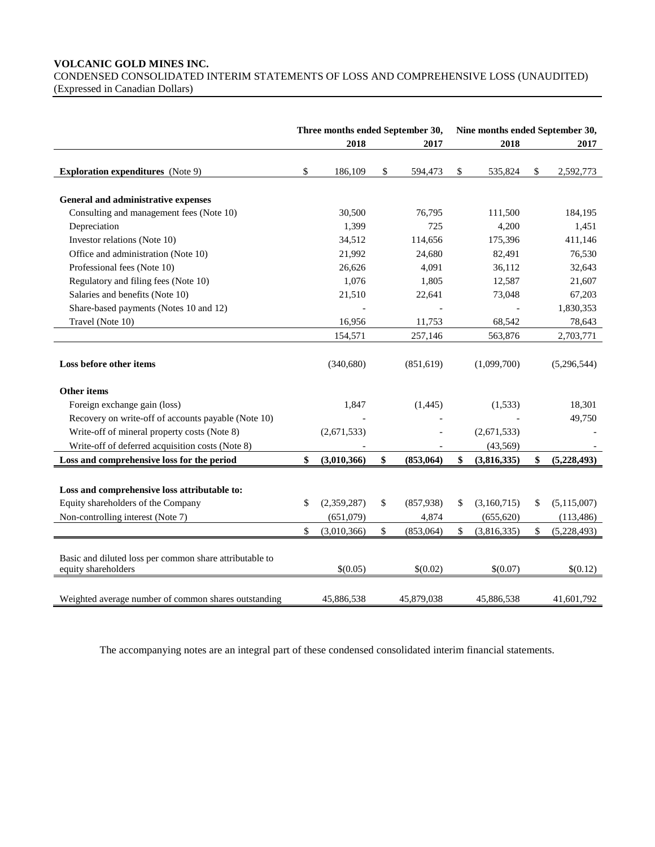## **VOLCANIC GOLD MINES INC.**

CONDENSED CONSOLIDATED INTERIM STATEMENTS OF LOSS AND COMPREHENSIVE LOSS (UNAUDITED) (Expressed in Canadian Dollars)

|                                                                                |              | Three months ended September 30, |                 | Nine months ended September 30, |             |    |               |  |
|--------------------------------------------------------------------------------|--------------|----------------------------------|-----------------|---------------------------------|-------------|----|---------------|--|
|                                                                                |              | 2018                             | 2017            |                                 | 2018        |    | 2017          |  |
| <b>Exploration expenditures</b> (Note 9)                                       | $\mathbb{S}$ | 186,109                          | \$<br>594,473   | \$                              | 535,824     | \$ | 2,592,773     |  |
| General and administrative expenses                                            |              |                                  |                 |                                 |             |    |               |  |
| Consulting and management fees (Note 10)                                       |              | 30,500                           | 76,795          |                                 | 111,500     |    | 184,195       |  |
| Depreciation                                                                   |              | 1,399                            | 725             |                                 | 4,200       |    | 1,451         |  |
| Investor relations (Note 10)                                                   |              | 34,512                           | 114,656         |                                 | 175,396     |    | 411,146       |  |
| Office and administration (Note 10)                                            |              | 21,992                           | 24,680          |                                 | 82,491      |    | 76,530        |  |
| Professional fees (Note 10)                                                    |              | 26,626                           | 4,091           |                                 | 36,112      |    | 32,643        |  |
| Regulatory and filing fees (Note 10)                                           |              | 1,076                            | 1,805           |                                 | 12,587      |    | 21,607        |  |
| Salaries and benefits (Note 10)                                                |              | 21,510                           | 22,641          |                                 | 73,048      |    | 67,203        |  |
| Share-based payments (Notes 10 and 12)                                         |              |                                  |                 |                                 |             |    | 1,830,353     |  |
| Travel (Note 10)                                                               |              | 16,956                           | 11,753          |                                 | 68,542      |    | 78,643        |  |
|                                                                                |              | 154,571                          | 257,146         |                                 | 563,876     |    | 2,703,771     |  |
| Loss before other items                                                        |              | (340, 680)                       | (851,619)       |                                 | (1,099,700) |    | (5,296,544)   |  |
| <b>Other items</b>                                                             |              |                                  |                 |                                 |             |    |               |  |
| Foreign exchange gain (loss)                                                   |              | 1,847                            | (1,445)         |                                 | (1, 533)    |    | 18,301        |  |
| Recovery on write-off of accounts payable (Note 10)                            |              |                                  |                 |                                 |             |    | 49,750        |  |
| Write-off of mineral property costs (Note 8)                                   |              | (2,671,533)                      |                 |                                 | (2,671,533) |    |               |  |
| Write-off of deferred acquisition costs (Note 8)                               |              |                                  |                 |                                 | (43, 569)   |    |               |  |
| Loss and comprehensive loss for the period                                     | \$           | (3,010,366)                      | \$<br>(853,064) | \$                              | (3,816,335) | \$ | (5,228,493)   |  |
| Loss and comprehensive loss attributable to:                                   |              |                                  |                 |                                 |             |    |               |  |
| Equity shareholders of the Company                                             | \$           | (2,359,287)                      | \$<br>(857,938) | \$                              | (3,160,715) | \$ | (5, 115, 007) |  |
| Non-controlling interest (Note 7)                                              |              | (651,079)                        | 4,874           |                                 | (655, 620)  |    | (113, 486)    |  |
|                                                                                | \$           | (3,010,366)                      | \$<br>(853,064) | \$                              | (3,816,335) | \$ | (5,228,493)   |  |
| Basic and diluted loss per common share attributable to<br>equity shareholders |              | \$(0.05)                         | \$(0.02)        |                                 | \$(0.07)    |    | \$(0.12)      |  |
| Weighted average number of common shares outstanding                           |              | 45,886,538                       | 45,879,038      |                                 | 45,886,538  |    | 41,601,792    |  |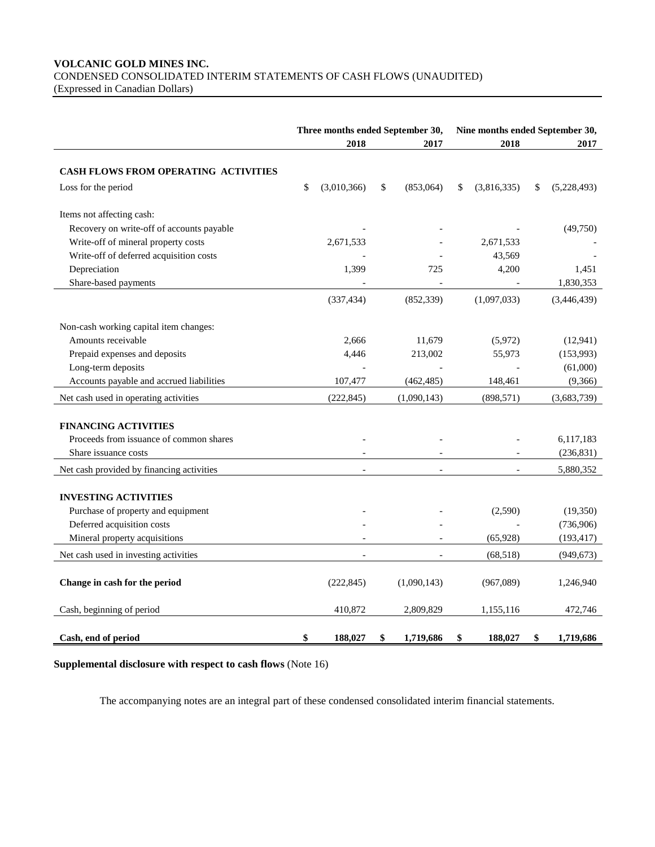# **VOLCANIC GOLD MINES INC.** CONDENSED CONSOLIDATED INTERIM STATEMENTS OF CASH FLOWS (UNAUDITED)

(Expressed in Canadian Dollars)

|                                             | Three months ended September 30, |                 |                   | Nine months ended September 30, |  |
|---------------------------------------------|----------------------------------|-----------------|-------------------|---------------------------------|--|
|                                             | 2018                             | 2017            | 2018              | 2017                            |  |
|                                             |                                  |                 |                   |                                 |  |
| <b>CASH FLOWS FROM OPERATING ACTIVITIES</b> |                                  |                 |                   |                                 |  |
| Loss for the period                         | \$<br>(3,010,366)                | \$<br>(853,064) | \$<br>(3,816,335) | \$<br>(5,228,493)               |  |
| Items not affecting cash:                   |                                  |                 |                   |                                 |  |
| Recovery on write-off of accounts payable   |                                  |                 |                   | (49,750)                        |  |
| Write-off of mineral property costs         | 2,671,533                        |                 | 2,671,533         |                                 |  |
| Write-off of deferred acquisition costs     |                                  |                 | 43,569            |                                 |  |
| Depreciation                                | 1,399                            | 725             | 4,200             | 1,451                           |  |
| Share-based payments                        |                                  |                 |                   | 1,830,353                       |  |
|                                             | (337, 434)                       | (852, 339)      | (1,097,033)       | (3,446,439)                     |  |
| Non-cash working capital item changes:      |                                  |                 |                   |                                 |  |
| Amounts receivable                          | 2,666                            | 11,679          | (5,972)           | (12, 941)                       |  |
| Prepaid expenses and deposits               | 4,446                            | 213,002         | 55,973            | (153,993)                       |  |
| Long-term deposits                          |                                  |                 |                   | (61,000)                        |  |
| Accounts payable and accrued liabilities    | 107,477                          | (462, 485)      | 148,461           | (9,366)                         |  |
| Net cash used in operating activities       | (222, 845)                       | (1,090,143)     | (898, 571)        | (3,683,739)                     |  |
|                                             |                                  |                 |                   |                                 |  |
| <b>FINANCING ACTIVITIES</b>                 |                                  |                 |                   |                                 |  |
| Proceeds from issuance of common shares     |                                  |                 |                   | 6,117,183                       |  |
| Share issuance costs                        |                                  |                 |                   | (236, 831)                      |  |
| Net cash provided by financing activities   |                                  |                 |                   | 5,880,352                       |  |
|                                             |                                  |                 |                   |                                 |  |
| <b>INVESTING ACTIVITIES</b>                 |                                  |                 |                   |                                 |  |
| Purchase of property and equipment          |                                  |                 | (2,590)           | (19,350)                        |  |
| Deferred acquisition costs                  |                                  |                 |                   | (736,906)                       |  |
| Mineral property acquisitions               |                                  |                 | (65, 928)         | (193, 417)                      |  |
| Net cash used in investing activities       |                                  |                 | (68, 518)         | (949, 673)                      |  |
| Change in cash for the period               | (222, 845)                       | (1,090,143)     | (967,089)         | 1,246,940                       |  |
| Cash, beginning of period                   | 410,872                          | 2,809,829       | 1,155,116         | 472,746                         |  |
|                                             |                                  |                 |                   |                                 |  |
| Cash, end of period                         | \$<br>188,027                    | \$<br>1,719,686 | \$<br>188,027     | \$<br>1,719,686                 |  |

## **Supplemental disclosure with respect to cash flows** (Note 16)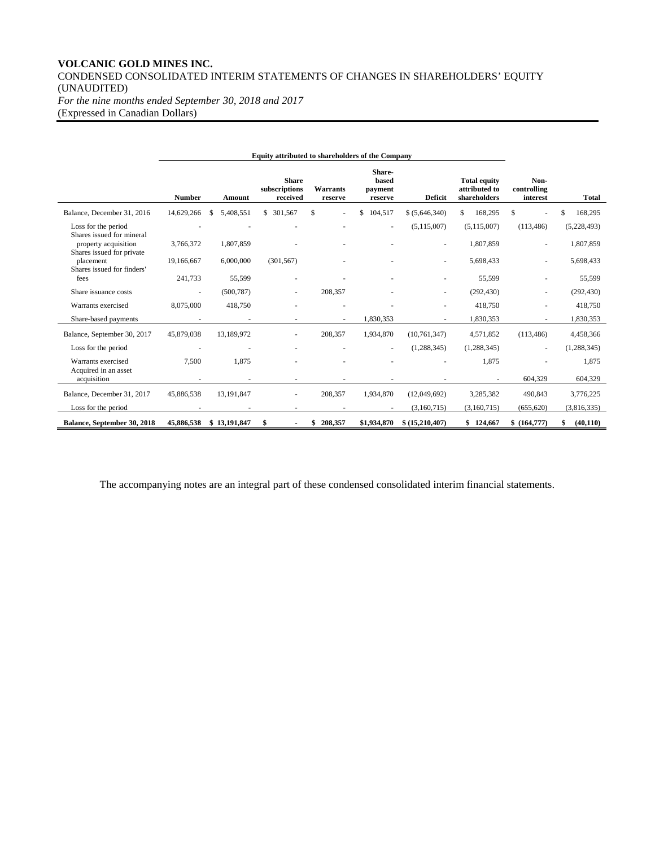## **VOLCANIC GOLD MINES INC.** CONDENSED CONSOLIDATED INTERIM STATEMENTS OF CHANGES IN SHAREHOLDERS' EQUITY (UNAUDITED) *For the nine months ended September 30, 2018 and 2017*

(Expressed in Canadian Dollars)

|                                                                          | <b>Number</b> | Amount       | <b>Share</b><br>subscriptions<br>received | Warrants<br>reserve | Share-<br>based<br>payment<br>reserve | <b>Deficit</b> | <b>Total equity</b><br>attributed to<br>shareholders | Non-<br>controlling<br>interest | <b>Total</b>             |
|--------------------------------------------------------------------------|---------------|--------------|-------------------------------------------|---------------------|---------------------------------------|----------------|------------------------------------------------------|---------------------------------|--------------------------|
| Balance, December 31, 2016                                               | 14,629,266    | 5,408,551    | \$ 301,567                                | \$.                 | \$<br>104,517                         | \$ (5,646,340) | 168,295<br>S.                                        | S                               | 168,295                  |
| Loss for the period<br>Shares issued for mineral<br>property acquisition | 3,766,372     | 1,807,859    |                                           |                     |                                       | (5, 115, 007)  | (5,115,007)<br>1,807,859                             | (113, 486)                      | (5,228,493)<br>1,807,859 |
| Shares issued for private<br>placement<br>Shares issued for finders'     | 19,166,667    | 6,000,000    | (301, 567)                                |                     |                                       |                | 5,698,433                                            |                                 | 5,698,433                |
| fees                                                                     | 241,733       | 55,599       |                                           |                     |                                       |                | 55,599                                               |                                 | 55,599                   |
| Share issuance costs                                                     |               | (500, 787)   |                                           | 208,357             |                                       |                | (292, 430)                                           |                                 | (292, 430)               |
| Warrants exercised                                                       | 8,075,000     | 418,750      |                                           |                     |                                       |                | 418,750                                              |                                 | 418,750                  |
| Share-based payments                                                     |               |              |                                           |                     | 1,830,353                             |                | 1,830,353                                            |                                 | 1,830,353                |
| Balance, September 30, 2017                                              | 45,879,038    | 13,189,972   | ٠                                         | 208,357             | 1,934,870                             | (10, 761, 347) | 4,571,852                                            | (113, 486)                      | 4,458,366                |
| Loss for the period                                                      |               |              |                                           |                     |                                       | (1, 288, 345)  | (1, 288, 345)                                        |                                 | (1, 288, 345)            |
| Warrants exercised                                                       | 7.500         | 1.875        |                                           |                     |                                       |                | 1.875                                                |                                 | 1,875                    |
| Acquired in an asset<br>acquisition                                      |               |              |                                           |                     |                                       |                |                                                      | 604,329                         | 604,329                  |
| Balance, December 31, 2017                                               | 45,886,538    | 13,191,847   | ٠                                         | 208,357             | 1,934,870                             | (12,049,692)   | 3,285,382                                            | 490,843                         | 3,776,225                |
| Loss for the period                                                      |               |              |                                           |                     |                                       | (3,160,715)    | (3,160,715)                                          | (655, 620)                      | (3,816,335)              |
| Balance, September 30, 2018                                              | 45,886,538    | \$13,191,847 | \$                                        | 208,357<br>\$       | \$1,934,870                           | \$(15,210,407) | \$124,667                                            | \$(164,777)                     | (40, 110)                |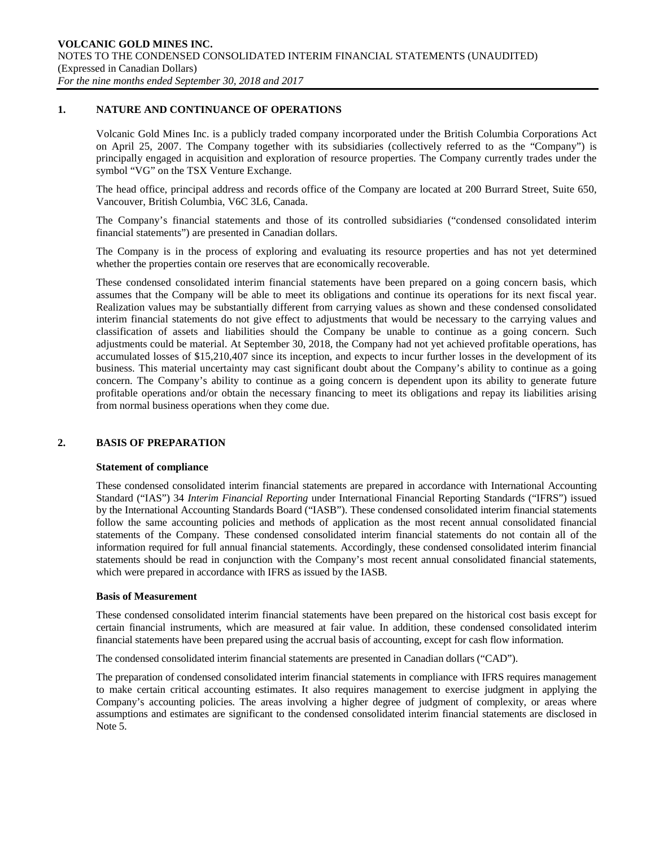### **1. NATURE AND CONTINUANCE OF OPERATIONS**

Volcanic Gold Mines Inc. is a publicly traded company incorporated under the British Columbia Corporations Act on April 25, 2007. The Company together with its subsidiaries (collectively referred to as the "Company") is principally engaged in acquisition and exploration of resource properties. The Company currently trades under the symbol "VG" on the TSX Venture Exchange.

The head office, principal address and records office of the Company are located at 200 Burrard Street, Suite 650, Vancouver, British Columbia, V6C 3L6, Canada.

The Company's financial statements and those of its controlled subsidiaries ("condensed consolidated interim financial statements") are presented in Canadian dollars.

The Company is in the process of exploring and evaluating its resource properties and has not yet determined whether the properties contain ore reserves that are economically recoverable.

These condensed consolidated interim financial statements have been prepared on a going concern basis, which assumes that the Company will be able to meet its obligations and continue its operations for its next fiscal year. Realization values may be substantially different from carrying values as shown and these condensed consolidated interim financial statements do not give effect to adjustments that would be necessary to the carrying values and classification of assets and liabilities should the Company be unable to continue as a going concern. Such adjustments could be material. At September 30, 2018, the Company had not yet achieved profitable operations, has accumulated losses of \$15,210,407 since its inception, and expects to incur further losses in the development of its business. This material uncertainty may cast significant doubt about the Company's ability to continue as a going concern. The Company's ability to continue as a going concern is dependent upon its ability to generate future profitable operations and/or obtain the necessary financing to meet its obligations and repay its liabilities arising from normal business operations when they come due.

#### **2. BASIS OF PREPARATION**

#### **Statement of compliance**

These condensed consolidated interim financial statements are prepared in accordance with International Accounting Standard ("IAS") 34 *Interim Financial Reporting* under International Financial Reporting Standards ("IFRS") issued by the International Accounting Standards Board ("IASB"). These condensed consolidated interim financial statements follow the same accounting policies and methods of application as the most recent annual consolidated financial statements of the Company. These condensed consolidated interim financial statements do not contain all of the information required for full annual financial statements. Accordingly, these condensed consolidated interim financial statements should be read in conjunction with the Company's most recent annual consolidated financial statements, which were prepared in accordance with IFRS as issued by the IASB.

#### **Basis of Measurement**

These condensed consolidated interim financial statements have been prepared on the historical cost basis except for certain financial instruments, which are measured at fair value. In addition, these condensed consolidated interim financial statements have been prepared using the accrual basis of accounting, except for cash flow information.

The condensed consolidated interim financial statements are presented in Canadian dollars ("CAD").

The preparation of condensed consolidated interim financial statements in compliance with IFRS requires management to make certain critical accounting estimates. It also requires management to exercise judgment in applying the Company's accounting policies. The areas involving a higher degree of judgment of complexity, or areas where assumptions and estimates are significant to the condensed consolidated interim financial statements are disclosed in Note 5.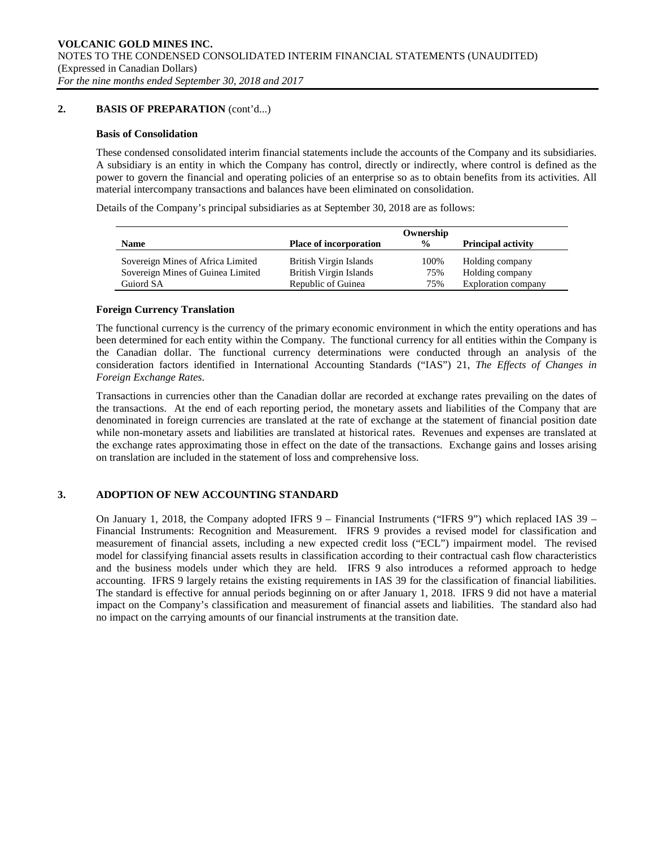## **2. BASIS OF PREPARATION** (cont'd...)

#### **Basis of Consolidation**

These condensed consolidated interim financial statements include the accounts of the Company and its subsidiaries. A subsidiary is an entity in which the Company has control, directly or indirectly, where control is defined as the power to govern the financial and operating policies of an enterprise so as to obtain benefits from its activities. All material intercompany transactions and balances have been eliminated on consolidation.

Details of the Company's principal subsidiaries as at September 30, 2018 are as follows:

|                                                                        |                                                  | Ownership     |                                    |
|------------------------------------------------------------------------|--------------------------------------------------|---------------|------------------------------------|
| <b>Name</b>                                                            | <b>Place of incorporation</b>                    | $\frac{0}{0}$ | <b>Principal activity</b>          |
| Sovereign Mines of Africa Limited<br>Sovereign Mines of Guinea Limited | British Virgin Islands<br>British Virgin Islands | 100%<br>75%   | Holding company<br>Holding company |
| Guiord SA                                                              | Republic of Guinea                               | 75%           | Exploration company                |

## **Foreign Currency Translation**

The functional currency is the currency of the primary economic environment in which the entity operations and has been determined for each entity within the Company. The functional currency for all entities within the Company is the Canadian dollar. The functional currency determinations were conducted through an analysis of the consideration factors identified in International Accounting Standards ("IAS") 21, *The Effects of Changes in Foreign Exchange Rates*.

Transactions in currencies other than the Canadian dollar are recorded at exchange rates prevailing on the dates of the transactions. At the end of each reporting period, the monetary assets and liabilities of the Company that are denominated in foreign currencies are translated at the rate of exchange at the statement of financial position date while non-monetary assets and liabilities are translated at historical rates. Revenues and expenses are translated at the exchange rates approximating those in effect on the date of the transactions. Exchange gains and losses arising on translation are included in the statement of loss and comprehensive loss.

## **3. ADOPTION OF NEW ACCOUNTING STANDARD**

On January 1, 2018, the Company adopted IFRS  $9$  – Financial Instruments ("IFRS 9") which replaced IAS 39 – Financial Instruments: Recognition and Measurement. IFRS 9 provides a revised model for classification and measurement of financial assets, including a new expected credit loss ("ECL") impairment model. The revised model for classifying financial assets results in classification according to their contractual cash flow characteristics and the business models under which they are held. IFRS 9 also introduces a reformed approach to hedge accounting. IFRS 9 largely retains the existing requirements in IAS 39 for the classification of financial liabilities. The standard is effective for annual periods beginning on or after January 1, 2018. IFRS 9 did not have a material impact on the Company's classification and measurement of financial assets and liabilities. The standard also had no impact on the carrying amounts of our financial instruments at the transition date.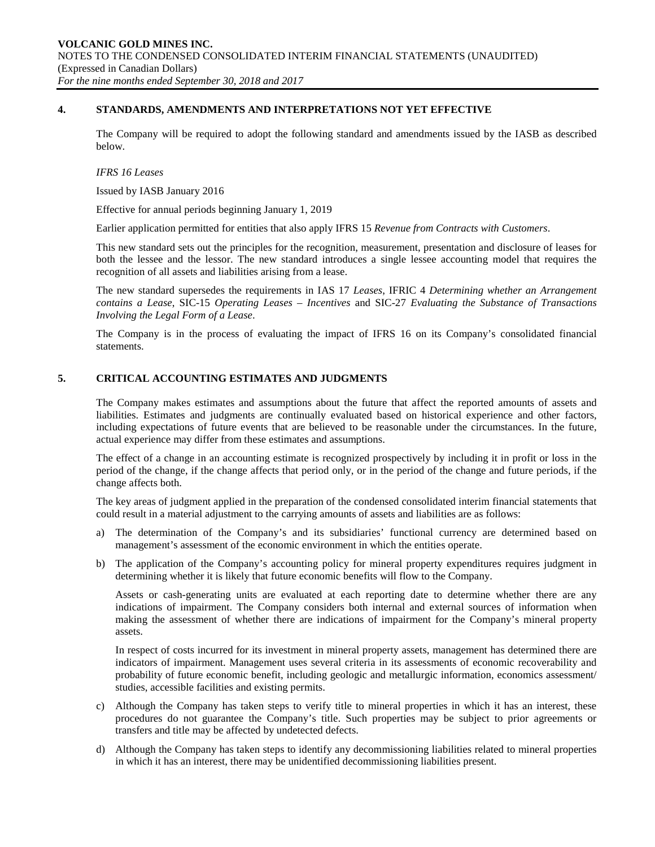### **4. STANDARDS, AMENDMENTS AND INTERPRETATIONS NOT YET EFFECTIVE**

The Company will be required to adopt the following standard and amendments issued by the IASB as described below.

#### *IFRS 16 Leases*

Issued by IASB January 2016

Effective for annual periods beginning January 1, 2019

Earlier application permitted for entities that also apply IFRS 15 *Revenue from Contracts with Customers*.

This new standard sets out the principles for the recognition, measurement, presentation and disclosure of leases for both the lessee and the lessor. The new standard introduces a single lessee accounting model that requires the recognition of all assets and liabilities arising from a lease.

The new standard supersedes the requirements in IAS 17 *Leases*, IFRIC 4 *Determining whether an Arrangement contains a Lease*, SIC-15 *Operating Leases – Incentives* and SIC-27 *Evaluating the Substance of Transactions Involving the Legal Form of a Lease*.

The Company is in the process of evaluating the impact of IFRS 16 on its Company's consolidated financial statements.

## **5. CRITICAL ACCOUNTING ESTIMATES AND JUDGMENTS**

The Company makes estimates and assumptions about the future that affect the reported amounts of assets and liabilities. Estimates and judgments are continually evaluated based on historical experience and other factors, including expectations of future events that are believed to be reasonable under the circumstances. In the future, actual experience may differ from these estimates and assumptions.

The effect of a change in an accounting estimate is recognized prospectively by including it in profit or loss in the period of the change, if the change affects that period only, or in the period of the change and future periods, if the change affects both.

The key areas of judgment applied in the preparation of the condensed consolidated interim financial statements that could result in a material adjustment to the carrying amounts of assets and liabilities are as follows:

- a) The determination of the Company's and its subsidiaries' functional currency are determined based on management's assessment of the economic environment in which the entities operate.
- b) The application of the Company's accounting policy for mineral property expenditures requires judgment in determining whether it is likely that future economic benefits will flow to the Company.

Assets or cash-generating units are evaluated at each reporting date to determine whether there are any indications of impairment. The Company considers both internal and external sources of information when making the assessment of whether there are indications of impairment for the Company's mineral property assets.

In respect of costs incurred for its investment in mineral property assets, management has determined there are indicators of impairment. Management uses several criteria in its assessments of economic recoverability and probability of future economic benefit, including geologic and metallurgic information, economics assessment/ studies, accessible facilities and existing permits.

- c) Although the Company has taken steps to verify title to mineral properties in which it has an interest, these procedures do not guarantee the Company's title. Such properties may be subject to prior agreements or transfers and title may be affected by undetected defects.
- d) Although the Company has taken steps to identify any decommissioning liabilities related to mineral properties in which it has an interest, there may be unidentified decommissioning liabilities present.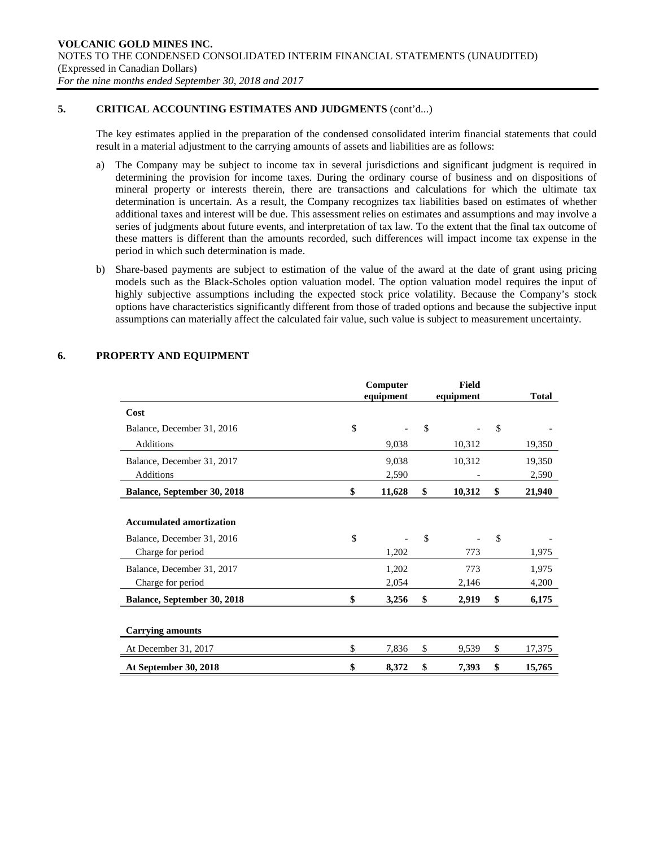## **5. CRITICAL ACCOUNTING ESTIMATES AND JUDGMENTS** (cont'd...)

The key estimates applied in the preparation of the condensed consolidated interim financial statements that could result in a material adjustment to the carrying amounts of assets and liabilities are as follows:

- a) The Company may be subject to income tax in several jurisdictions and significant judgment is required in determining the provision for income taxes. During the ordinary course of business and on dispositions of mineral property or interests therein, there are transactions and calculations for which the ultimate tax determination is uncertain. As a result, the Company recognizes tax liabilities based on estimates of whether additional taxes and interest will be due. This assessment relies on estimates and assumptions and may involve a series of judgments about future events, and interpretation of tax law. To the extent that the final tax outcome of these matters is different than the amounts recorded, such differences will impact income tax expense in the period in which such determination is made.
- b) Share-based payments are subject to estimation of the value of the award at the date of grant using pricing models such as the Black-Scholes option valuation model. The option valuation model requires the input of highly subjective assumptions including the expected stock price volatility. Because the Company's stock options have characteristics significantly different from those of traded options and because the subjective input assumptions can materially affect the calculated fair value, such value is subject to measurement uncertainty.

|                                 | Computer<br>equipment | <b>Field</b><br>equipment | <b>Total</b> |
|---------------------------------|-----------------------|---------------------------|--------------|
| Cost                            |                       |                           |              |
| Balance, December 31, 2016      | \$                    | \$                        | \$           |
| <b>Additions</b>                | 9,038                 | 10,312                    | 19,350       |
| Balance, December 31, 2017      | 9,038                 | 10,312                    | 19,350       |
| Additions                       | 2,590                 |                           | 2,590        |
| Balance, September 30, 2018     | \$<br>11,628          | \$<br>10,312              | \$<br>21,940 |
|                                 |                       |                           |              |
| <b>Accumulated amortization</b> |                       |                           |              |
| Balance, December 31, 2016      | \$                    | \$                        | \$           |
| Charge for period               | 1,202                 | 773                       | 1,975        |
| Balance, December 31, 2017      | 1,202                 | 773                       | 1,975        |
| Charge for period               | 2,054                 | 2,146                     | 4,200        |
| Balance, September 30, 2018     | \$<br>3,256           | \$<br>2,919               | \$<br>6,175  |
|                                 |                       |                           |              |
| <b>Carrying amounts</b>         |                       |                           |              |
| At December 31, 2017            | \$<br>7,836           | \$<br>9,539               | \$<br>17,375 |
| At September 30, 2018           | \$<br>8,372           | \$<br>7,393               | \$<br>15,765 |

## **6. PROPERTY AND EQUIPMENT**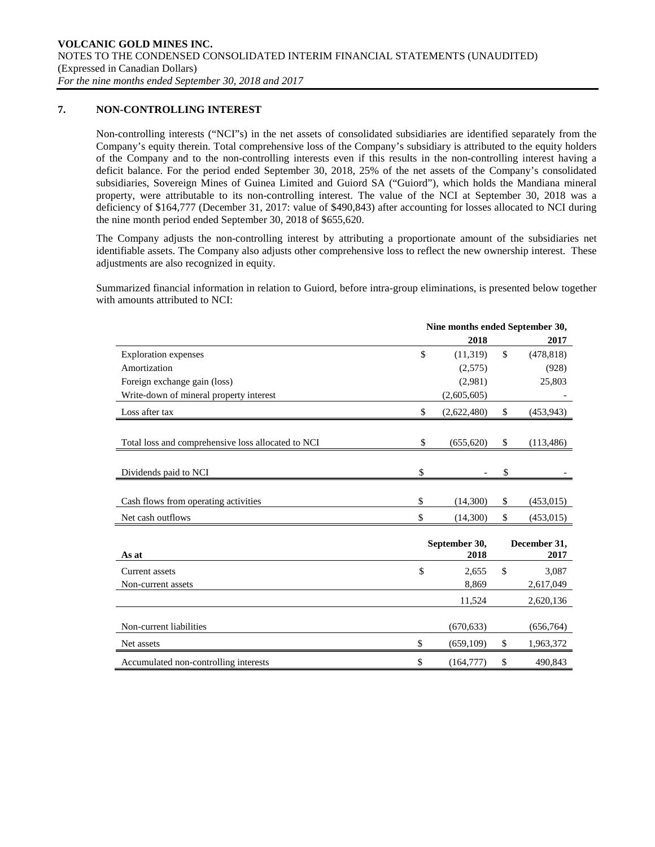## **7. NON-CONTROLLING INTEREST**

Non-controlling interests ("NCI"s) in the net assets of consolidated subsidiaries are identified separately from the Company's equity therein. Total comprehensive loss of the Company's subsidiary is attributed to the equity holders of the Company and to the non-controlling interests even if this results in the non-controlling interest having a deficit balance. For the period ended September 30, 2018, 25% of the net assets of the Company's consolidated subsidiaries, Sovereign Mines of Guinea Limited and Guiord SA ("Guiord"), which holds the Mandiana mineral property, were attributable to its non-controlling interest. The value of the NCI at September 30, 2018 was a deficiency of \$164,777 (December 31, 2017: value of \$490,843) after accounting for losses allocated to NCI during the nine month period ended September 30, 2018 of \$655,620.

The Company adjusts the non-controlling interest by attributing a proportionate amount of the subsidiaries net identifiable assets. The Company also adjusts other comprehensive loss to reflect the new ownership interest. These adjustments are also recognized in equity.

Summarized financial information in relation to Guiord, before intra-group eliminations, is presented below together with amounts attributed to NCI:

|                                                    | Nine months ended September 30, |              |                      |  |
|----------------------------------------------------|---------------------------------|--------------|----------------------|--|
|                                                    | 2018                            |              | 2017                 |  |
| <b>Exploration</b> expenses                        | \$<br>(11, 319)                 | $\mathbb{S}$ | (478, 818)           |  |
| Amortization                                       | (2,575)                         |              | (928)                |  |
| Foreign exchange gain (loss)                       | (2,981)                         |              | 25,803               |  |
| Write-down of mineral property interest            | (2,605,605)                     |              |                      |  |
| Loss after tax                                     | \$<br>(2,622,480)               | \$           | (453, 943)           |  |
|                                                    |                                 |              |                      |  |
| Total loss and comprehensive loss allocated to NCI | \$<br>(655, 620)                | \$           | (113, 486)           |  |
| Dividends paid to NCI                              | \$                              | \$           |                      |  |
| Cash flows from operating activities               | \$<br>(14,300)                  | \$           | (453, 015)           |  |
| Net cash outflows                                  | \$<br>(14,300)                  | \$           | (453, 015)           |  |
| As at                                              | September 30,<br>2018           |              | December 31,<br>2017 |  |
| Current assets                                     | \$<br>2,655                     | \$           | 3,087                |  |
| Non-current assets                                 | 8,869                           |              | 2,617,049            |  |
|                                                    | 11,524                          |              | 2,620,136            |  |
| Non-current liabilities                            | (670, 633)                      |              | (656, 764)           |  |
| Net assets                                         | \$<br>(659,109)                 | \$           | 1,963,372            |  |
| Accumulated non-controlling interests              | \$<br>(164, 777)                | \$           | 490,843              |  |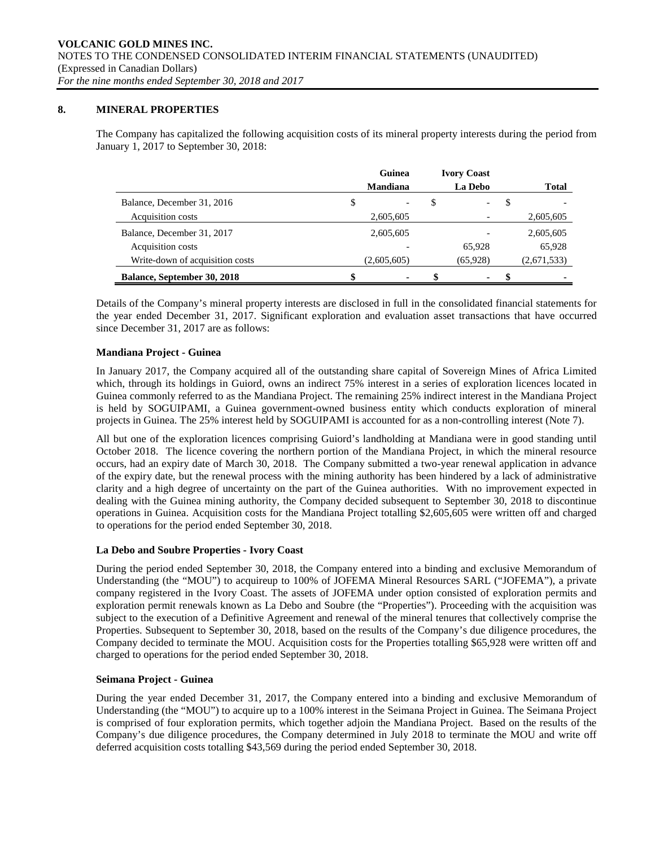## **8. MINERAL PROPERTIES**

The Company has capitalized the following acquisition costs of its mineral property interests during the period from January 1, 2017 to September 30, 2018:

|                                    | Guinea      | <b>Ivory Coast</b>             |   |              |
|------------------------------------|-------------|--------------------------------|---|--------------|
|                                    | Mandiana    | La Debo                        |   | <b>Total</b> |
| Balance, December 31, 2016         | \$          | \$<br>$\overline{\phantom{0}}$ | S |              |
| Acquisition costs                  | 2,605,605   |                                |   | 2,605,605    |
| Balance, December 31, 2017         | 2,605,605   |                                |   | 2,605,605    |
| Acquisition costs                  |             | 65.928                         |   | 65,928       |
| Write-down of acquisition costs    | (2,605,605) | (65,928)                       |   | (2,671,533)  |
| <b>Balance, September 30, 2018</b> | \$<br>۰     | \$<br>۰.                       | S |              |

Details of the Company's mineral property interests are disclosed in full in the consolidated financial statements for the year ended December 31, 2017. Significant exploration and evaluation asset transactions that have occurred since December 31, 2017 are as follows:

## **Mandiana Project - Guinea**

In January 2017, the Company acquired all of the outstanding share capital of Sovereign Mines of Africa Limited which, through its holdings in Guiord, owns an indirect 75% interest in a series of exploration licences located in Guinea commonly referred to as the Mandiana Project. The remaining 25% indirect interest in the Mandiana Project is held by SOGUIPAMI, a Guinea government-owned business entity which conducts exploration of mineral projects in Guinea. The 25% interest held by SOGUIPAMI is accounted for as a non-controlling interest (Note 7).

All but one of the exploration licences comprising Guiord's landholding at Mandiana were in good standing until October 2018. The licence covering the northern portion of the Mandiana Project, in which the mineral resource occurs, had an expiry date of March 30, 2018. The Company submitted a two-year renewal application in advance of the expiry date, but the renewal process with the mining authority has been hindered by a lack of administrative clarity and a high degree of uncertainty on the part of the Guinea authorities. With no improvement expected in dealing with the Guinea mining authority, the Company decided subsequent to September 30, 2018 to discontinue operations in Guinea. Acquisition costs for the Mandiana Project totalling \$2,605,605 were written off and charged to operations for the period ended September 30, 2018.

## **La Debo and Soubre Properties - Ivory Coast**

During the period ended September 30, 2018, the Company entered into a binding and exclusive Memorandum of Understanding (the "MOU") to acquireup to 100% of JOFEMA Mineral Resources SARL ("JOFEMA"), a private company registered in the Ivory Coast. The assets of JOFEMA under option consisted of exploration permits and exploration permit renewals known as La Debo and Soubre (the "Properties"). Proceeding with the acquisition was subject to the execution of a Definitive Agreement and renewal of the mineral tenures that collectively comprise the Properties. Subsequent to September 30, 2018, based on the results of the Company's due diligence procedures, the Company decided to terminate the MOU. Acquisition costs for the Properties totalling \$65,928 were written off and charged to operations for the period ended September 30, 2018.

#### **Seimana Project - Guinea**

During the year ended December 31, 2017, the Company entered into a binding and exclusive Memorandum of Understanding (the "MOU") to acquire up to a 100% interest in the Seimana Project in Guinea. The Seimana Project is comprised of four exploration permits, which together adjoin the Mandiana Project. Based on the results of the Company's due diligence procedures, the Company determined in July 2018 to terminate the MOU and write off deferred acquisition costs totalling \$43,569 during the period ended September 30, 2018.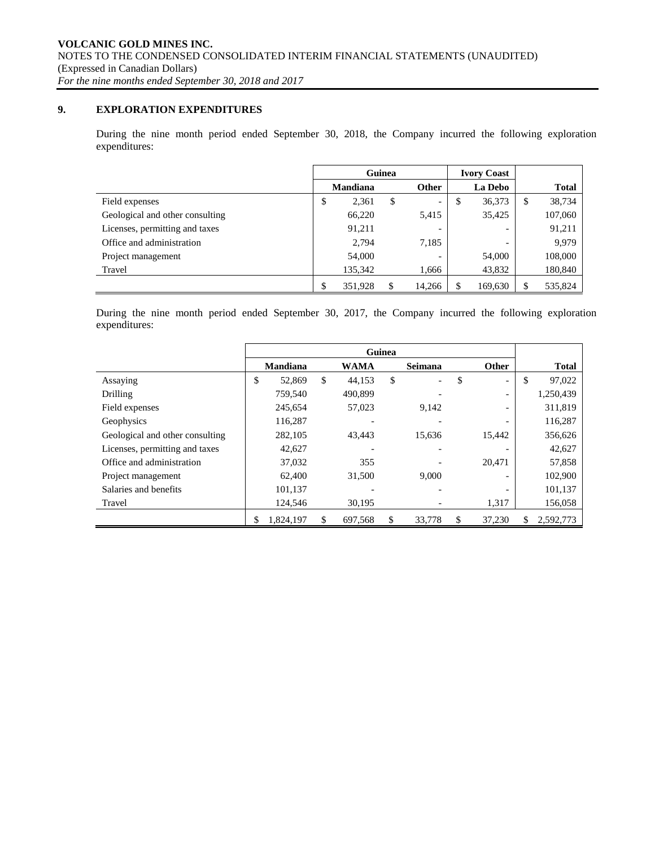## **9. EXPLORATION EXPENDITURES**

During the nine month period ended September 30, 2018, the Company incurred the following exploration expenditures:

|                                 | Guinea          |         |    |                          |         | <b>Ivory Coast</b>       |               |
|---------------------------------|-----------------|---------|----|--------------------------|---------|--------------------------|---------------|
|                                 | <b>Mandiana</b> |         |    | <b>Other</b>             | La Debo |                          | <b>Total</b>  |
| Field expenses                  | \$              | 2,361   | \$ | $\overline{\phantom{0}}$ | \$      | 36,373                   | \$<br>38,734  |
| Geological and other consulting |                 | 66,220  |    | 5,415                    |         | 35,425                   | 107,060       |
| Licenses, permitting and taxes  |                 | 91,211  |    |                          |         |                          | 91,211        |
| Office and administration       |                 | 2,794   |    | 7,185                    |         | $\overline{\phantom{0}}$ | 9,979         |
| Project management              |                 | 54,000  |    | $\overline{\phantom{0}}$ |         | 54,000                   | 108,000       |
| Travel                          |                 | 135,342 |    | 1,666                    |         | 43,832                   | 180,840       |
|                                 | \$              | 351,928 |    | 14,266                   |         | 169,630                  | \$<br>535,824 |

During the nine month period ended September 30, 2017, the Company incurred the following exploration expenditures:

|                                 |                 |               |             | Guinea |                |                                |    |              |
|---------------------------------|-----------------|---------------|-------------|--------|----------------|--------------------------------|----|--------------|
|                                 | <b>Mandiana</b> |               | <b>WAMA</b> |        | <b>Seimana</b> | Other                          |    | <b>Total</b> |
| Assaying                        | \$<br>52,869    | <sup>\$</sup> | 44.153      | \$     |                | \$<br>$\overline{\phantom{a}}$ | S  | 97,022       |
| Drilling                        | 759,540         |               | 490.899     |        |                | $\overline{\phantom{0}}$       |    | 1,250,439    |
| Field expenses                  | 245,654         |               | 57,023      |        | 9,142          | $\overline{\phantom{0}}$       |    | 311,819      |
| Geophysics                      | 116,287         |               |             |        |                |                                |    | 116,287      |
| Geological and other consulting | 282,105         |               | 43,443      |        | 15,636         | 15,442                         |    | 356,626      |
| Licenses, permitting and taxes  | 42,627          |               |             |        |                |                                |    | 42,627       |
| Office and administration       | 37,032          |               | 355         |        |                | 20,471                         |    | 57,858       |
| Project management              | 62,400          |               | 31,500      |        | 9.000          | ٠                              |    | 102,900      |
| Salaries and benefits           | 101,137         |               |             |        |                |                                |    | 101,137      |
| Travel                          | 124,546         |               | 30,195      |        |                | 1,317                          |    | 156,058      |
|                                 | \$<br>1,824,197 | \$.           | 697,568     | \$     | 33,778         | \$<br>37,230                   | \$ | 2,592,773    |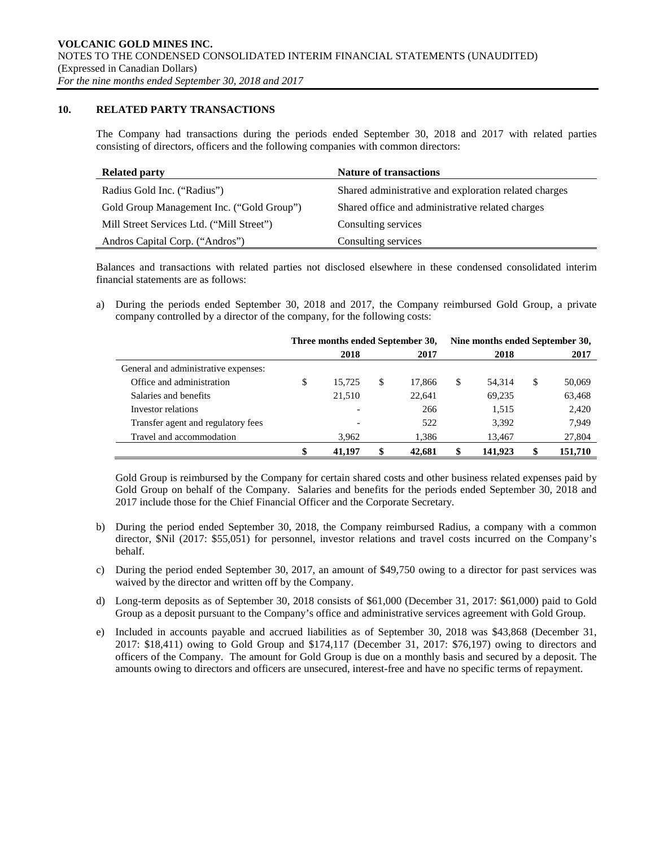### **10. RELATED PARTY TRANSACTIONS**

The Company had transactions during the periods ended September 30, 2018 and 2017 with related parties consisting of directors, officers and the following companies with common directors:

| <b>Related party</b>                      | <b>Nature of transactions</b>                         |
|-------------------------------------------|-------------------------------------------------------|
| Radius Gold Inc. ("Radius")               | Shared administrative and exploration related charges |
| Gold Group Management Inc. ("Gold Group") | Shared office and administrative related charges      |
| Mill Street Services Ltd. ("Mill Street") | Consulting services                                   |
| Andros Capital Corp. ("Andros")           | Consulting services                                   |

Balances and transactions with related parties not disclosed elsewhere in these condensed consolidated interim financial statements are as follows:

a) During the periods ended September 30, 2018 and 2017, the Company reimbursed Gold Group, a private company controlled by a director of the company, for the following costs:

|                                      |              |        | Nine months ended September 30,<br>Three months ended September 30, |        |    |         |      |         |  |
|--------------------------------------|--------------|--------|---------------------------------------------------------------------|--------|----|---------|------|---------|--|
|                                      | 2018<br>2017 |        |                                                                     |        |    |         | 2017 |         |  |
| General and administrative expenses: |              |        |                                                                     |        |    |         |      |         |  |
| Office and administration            | \$           | 15.725 | \$                                                                  | 17.866 | \$ | 54.314  | S    | 50,069  |  |
| Salaries and benefits                |              | 21.510 |                                                                     | 22.641 |    | 69,235  |      | 63,468  |  |
| Investor relations                   |              |        |                                                                     | 266    |    | 1,515   |      | 2,420   |  |
| Transfer agent and regulatory fees   |              |        |                                                                     | 522    |    | 3,392   |      | 7,949   |  |
| Travel and accommodation             |              | 3,962  |                                                                     | 1,386  |    | 13,467  |      | 27,804  |  |
|                                      |              | 41.197 |                                                                     | 42.681 |    | 141.923 |      | 151,710 |  |

Gold Group is reimbursed by the Company for certain shared costs and other business related expenses paid by Gold Group on behalf of the Company. Salaries and benefits for the periods ended September 30, 2018 and 2017 include those for the Chief Financial Officer and the Corporate Secretary.

- b) During the period ended September 30, 2018, the Company reimbursed Radius, a company with a common director, \$Nil (2017: \$55,051) for personnel, investor relations and travel costs incurred on the Company's behalf.
- c) During the period ended September 30, 2017, an amount of \$49,750 owing to a director for past services was waived by the director and written off by the Company.
- d) Long-term deposits as of September 30, 2018 consists of \$61,000 (December 31, 2017: \$61,000) paid to Gold Group as a deposit pursuant to the Company's office and administrative services agreement with Gold Group.
- e) Included in accounts payable and accrued liabilities as of September 30, 2018 was \$43,868 (December 31, 2017: \$18,411) owing to Gold Group and \$174,117 (December 31, 2017: \$76,197) owing to directors and officers of the Company. The amount for Gold Group is due on a monthly basis and secured by a deposit. The amounts owing to directors and officers are unsecured, interest-free and have no specific terms of repayment.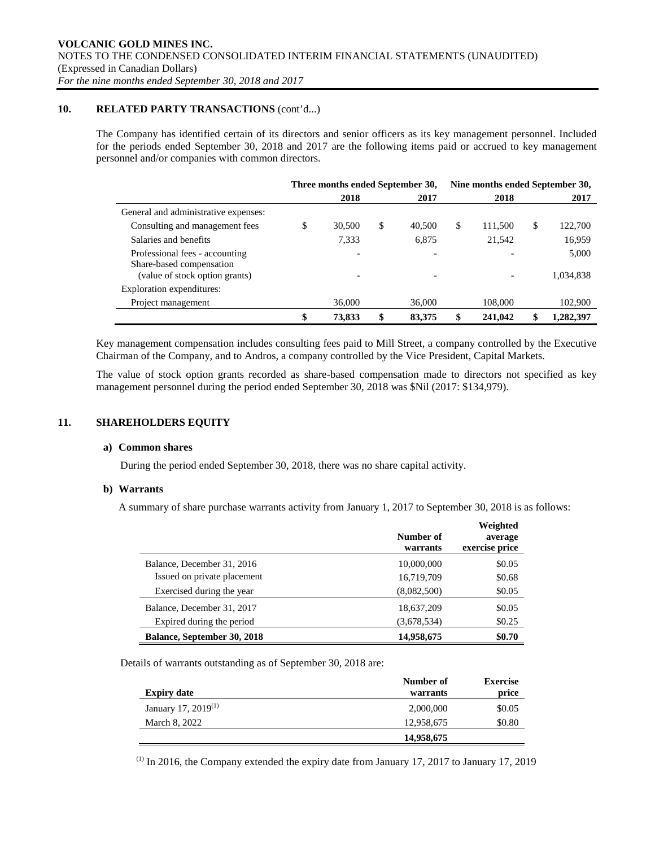## **10. RELATED PARTY TRANSACTIONS** (cont'd...)

The Company has identified certain of its directors and senior officers as its key management personnel. Included for the periods ended September 30, 2018 and 2017 are the following items paid or accrued to key management personnel and/or companies with common directors.

|                                                            |    | Three months ended September 30, |              | Nine months ended September 30, |         |    |           |  |
|------------------------------------------------------------|----|----------------------------------|--------------|---------------------------------|---------|----|-----------|--|
|                                                            |    | 2018                             | 2017         |                                 | 2018    |    | 2017      |  |
| General and administrative expenses:                       |    |                                  |              |                                 |         |    |           |  |
| Consulting and management fees                             | J. | 30,500                           | \$<br>40,500 | \$                              | 111.500 | \$ | 122,700   |  |
| Salaries and benefits                                      |    | 7,333                            | 6,875        |                                 | 21,542  |    | 16,959    |  |
| Professional fees - accounting<br>Share-based compensation |    |                                  |              |                                 |         |    | 5,000     |  |
| (value of stock option grants)                             |    |                                  |              |                                 |         |    | 1,034,838 |  |
| Exploration expenditures:                                  |    |                                  |              |                                 |         |    |           |  |
| Project management                                         |    | 36,000                           | 36,000       |                                 | 108,000 |    | 102,900   |  |
|                                                            |    | 73,833                           | 83,375       |                                 | 241,042 |    | 1,282,397 |  |

Key management compensation includes consulting fees paid to Mill Street, a company controlled by the Executive Chairman of the Company, and to Andros, a company controlled by the Vice President, Capital Markets.

The value of stock option grants recorded as share-based compensation made to directors not specified as key management personnel during the period ended September 30, 2018 was \$Nil (2017: \$134,979).

## **11. SHAREHOLDERS EQUITY**

#### **a) Common shares**

During the period ended September 30, 2018, there was no share capital activity.

#### **b) Warrants**

A summary of share purchase warrants activity from January 1, 2017 to September 30, 2018 is as follows:

|                                    | Number of<br>warrants | Weighted<br>average<br>exercise price |
|------------------------------------|-----------------------|---------------------------------------|
| Balance, December 31, 2016         | 10,000,000            | \$0.05                                |
| Issued on private placement        | 16,719,709            | \$0.68                                |
| Exercised during the year          | (8,082,500)           | \$0.05                                |
| Balance, December 31, 2017         | 18,637,209            | \$0.05                                |
| Expired during the period          | (3,678,534)           | \$0.25                                |
| <b>Balance, September 30, 2018</b> | 14,958,675            | \$0.70                                |

Details of warrants outstanding as of September 30, 2018 are:

|                           | Number of  | <b>Exercise</b> |
|---------------------------|------------|-----------------|
| <b>Expiry date</b>        | warrants   | price           |
| January 17, 2019 $^{(1)}$ | 2,000,000  | \$0.05          |
| March 8, 2022             | 12,958,675 | \$0.80          |
|                           | 14,958,675 |                 |

 $<sup>(1)</sup>$  In 2016, the Company extended the expiry date from January 17, 2017 to January 17, 2019</sup>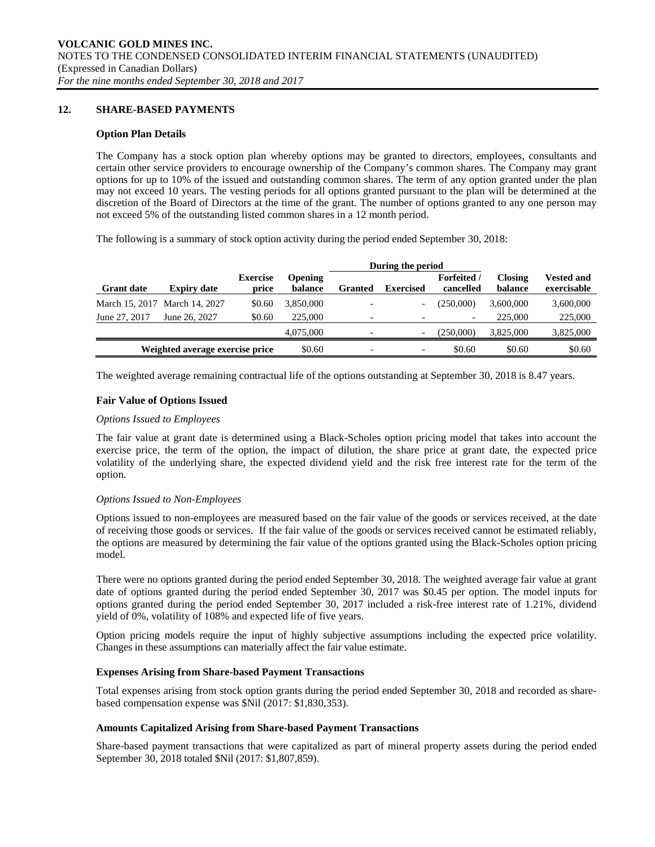## **12. SHARE-BASED PAYMENTS**

#### **Option Plan Details**

The Company has a stock option plan whereby options may be granted to directors, employees, consultants and certain other service providers to encourage ownership of the Company's common shares. The Company may grant options for up to 10% of the issued and outstanding common shares. The term of any option granted under the plan may not exceed 10 years. The vesting periods for all options granted pursuant to the plan will be determined at the discretion of the Board of Directors at the time of the grant. The number of options granted to any one person may not exceed 5% of the outstanding listed common shares in a 12 month period.

The following is a summary of stock option activity during the period ended September 30, 2018:

|                   |                                 |                          |                           | During the period |                  |                                 |                           |                                  |
|-------------------|---------------------------------|--------------------------|---------------------------|-------------------|------------------|---------------------------------|---------------------------|----------------------------------|
| <b>Grant date</b> | <b>Expiry date</b>              | <b>Exercise</b><br>price | <b>Opening</b><br>balance | <b>Granted</b>    | <b>Exercised</b> | <b>Forfeited</b> /<br>cancelled | <b>Closing</b><br>balance | <b>Vested and</b><br>exercisable |
|                   | March 15, 2017 March 14, 2027   | \$0.60                   | 3.850,000                 |                   |                  | (250,000)                       | 3.600,000                 | 3,600,000                        |
| June 27, 2017     | June 26, 2027                   | \$0.60                   | 225,000                   |                   |                  | $\overline{\phantom{a}}$        | 225,000                   | 225,000                          |
|                   |                                 |                          | 4,075,000                 |                   | -                | (250,000)                       | 3.825,000                 | 3,825,000                        |
|                   | Weighted average exercise price |                          | \$0.60                    | -                 |                  | \$0.60                          | \$0.60                    | \$0.60                           |

The weighted average remaining contractual life of the options outstanding at September 30, 2018 is 8.47 years.

## **Fair Value of Options Issued**

### *Options Issued to Employees*

The fair value at grant date is determined using a Black-Scholes option pricing model that takes into account the exercise price, the term of the option, the impact of dilution, the share price at grant date, the expected price volatility of the underlying share, the expected dividend yield and the risk free interest rate for the term of the option.

#### *Options Issued to Non-Employees*

Options issued to non-employees are measured based on the fair value of the goods or services received, at the date of receiving those goods or services. If the fair value of the goods or services received cannot be estimated reliably, the options are measured by determining the fair value of the options granted using the Black-Scholes option pricing model.

There were no options granted during the period ended September 30, 2018. The weighted average fair value at grant date of options granted during the period ended September 30, 2017 was \$0.45 per option. The model inputs for options granted during the period ended September 30, 2017 included a risk-free interest rate of 1.21%, dividend yield of 0%, volatility of 108% and expected life of five years.

Option pricing models require the input of highly subjective assumptions including the expected price volatility. Changes in these assumptions can materially affect the fair value estimate.

#### **Expenses Arising from Share-based Payment Transactions**

Total expenses arising from stock option grants during the period ended September 30, 2018 and recorded as sharebased compensation expense was \$Nil (2017: \$1,830,353).

#### **Amounts Capitalized Arising from Share-based Payment Transactions**

Share-based payment transactions that were capitalized as part of mineral property assets during the period ended September 30, 2018 totaled \$Nil (2017: \$1,807,859).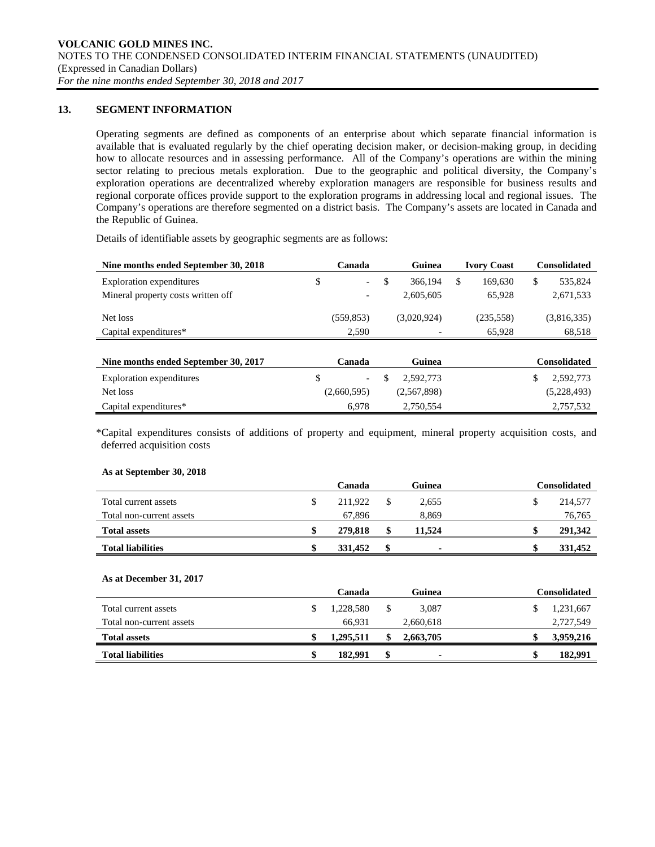## **13. SEGMENT INFORMATION**

Operating segments are defined as components of an enterprise about which separate financial information is available that is evaluated regularly by the chief operating decision maker, or decision-making group, in deciding how to allocate resources and in assessing performance. All of the Company's operations are within the mining sector relating to precious metals exploration. Due to the geographic and political diversity, the Company's exploration operations are decentralized whereby exploration managers are responsible for business results and regional corporate offices provide support to the exploration programs in addressing local and regional issues. The Company's operations are therefore segmented on a district basis. The Company's assets are located in Canada and the Republic of Guinea.

Details of identifiable assets by geographic segments are as follows:

| Nine months ended September 30, 2018 | Canada                         | Guinea          | <b>Ivory Coast</b> | <b>Consolidated</b> |
|--------------------------------------|--------------------------------|-----------------|--------------------|---------------------|
| <b>Exploration</b> expenditures      | \$<br>$\overline{\phantom{a}}$ | \$<br>366,194   | \$<br>169.630      | \$<br>535,824       |
| Mineral property costs written off   | $\overline{\phantom{a}}$       | 2,605,605       | 65,928             | 2,671,533           |
| Net loss                             | (559, 853)                     | (3,020,924)     | (235,558)          | (3,816,335)         |
| Capital expenditures*                | 2,590                          |                 | 65,928             | 68,518              |
|                                      |                                |                 |                    |                     |
| Nine months ended September 30, 2017 | Canada                         | Guinea          |                    | <b>Consolidated</b> |
| Exploration expenditures             | \$<br>$\overline{\phantom{a}}$ | \$<br>2.592.773 |                    | \$<br>2,592,773     |
| Net loss                             | (2,660,595)                    | (2,567,898)     |                    | (5,228,493)         |
| Capital expenditures*                | 6,978                          | 2,750,554       |                    | 2,757,532           |

\*Capital expenditures consists of additions of property and equipment, mineral property acquisition costs, and deferred acquisition costs

#### **As at September 30, 2018**

|                          | Canada        | Guinea | Consolidated |
|--------------------------|---------------|--------|--------------|
| Total current assets     | \$<br>211,922 | 2,655  | 214,577      |
| Total non-current assets | 67.896        | 8.869  | 76,765       |
| <b>Total assets</b>      | \$<br>279,818 | 11.524 | 291,342      |
| <b>Total liabilities</b> | 331.452       |        | 331,452      |

#### **As at December 31, 2017**

|                          |   | Canada    | Guinea    | Consolidated |
|--------------------------|---|-----------|-----------|--------------|
| Total current assets     |   | 1.228.580 | 3.087     | 1,231,667    |
| Total non-current assets |   | 66.931    | 2,660,618 | 2,727,549    |
| <b>Total assets</b>      | S | 1.295.511 | 2.663.705 | 3,959,216    |
| <b>Total liabilities</b> | S | 182.991   | ۰         | 182,991      |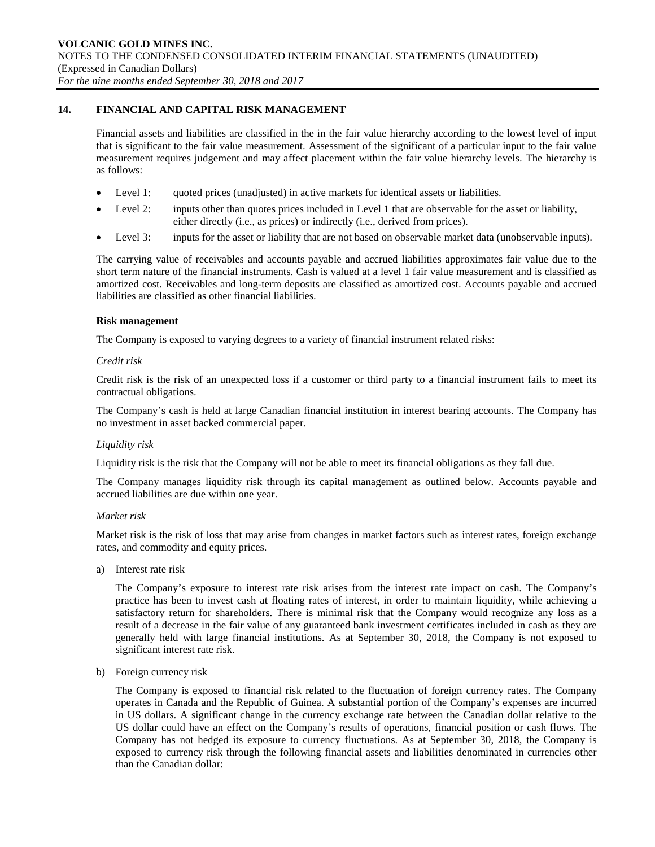## **14. FINANCIAL AND CAPITAL RISK MANAGEMENT**

Financial assets and liabilities are classified in the in the fair value hierarchy according to the lowest level of input that is significant to the fair value measurement. Assessment of the significant of a particular input to the fair value measurement requires judgement and may affect placement within the fair value hierarchy levels. The hierarchy is as follows:

- Level 1: quoted prices (unadjusted) in active markets for identical assets or liabilities.
- Level 2: inputs other than quotes prices included in Level 1 that are observable for the asset or liability, either directly (i.e., as prices) or indirectly (i.e., derived from prices).
- Level 3: inputs for the asset or liability that are not based on observable market data (unobservable inputs).

The carrying value of receivables and accounts payable and accrued liabilities approximates fair value due to the short term nature of the financial instruments. Cash is valued at a level 1 fair value measurement and is classified as amortized cost. Receivables and long-term deposits are classified as amortized cost. Accounts payable and accrued liabilities are classified as other financial liabilities.

#### **Risk management**

The Company is exposed to varying degrees to a variety of financial instrument related risks:

#### *Credit risk*

Credit risk is the risk of an unexpected loss if a customer or third party to a financial instrument fails to meet its contractual obligations.

The Company's cash is held at large Canadian financial institution in interest bearing accounts. The Company has no investment in asset backed commercial paper.

#### *Liquidity risk*

Liquidity risk is the risk that the Company will not be able to meet its financial obligations as they fall due.

The Company manages liquidity risk through its capital management as outlined below. Accounts payable and accrued liabilities are due within one year.

#### *Market risk*

Market risk is the risk of loss that may arise from changes in market factors such as interest rates, foreign exchange rates, and commodity and equity prices.

a) Interest rate risk

The Company's exposure to interest rate risk arises from the interest rate impact on cash. The Company's practice has been to invest cash at floating rates of interest, in order to maintain liquidity, while achieving a satisfactory return for shareholders. There is minimal risk that the Company would recognize any loss as a result of a decrease in the fair value of any guaranteed bank investment certificates included in cash as they are generally held with large financial institutions. As at September 30, 2018, the Company is not exposed to significant interest rate risk.

b) Foreign currency risk

The Company is exposed to financial risk related to the fluctuation of foreign currency rates. The Company operates in Canada and the Republic of Guinea. A substantial portion of the Company's expenses are incurred in US dollars. A significant change in the currency exchange rate between the Canadian dollar relative to the US dollar could have an effect on the Company's results of operations, financial position or cash flows. The Company has not hedged its exposure to currency fluctuations. As at September 30, 2018, the Company is exposed to currency risk through the following financial assets and liabilities denominated in currencies other than the Canadian dollar: